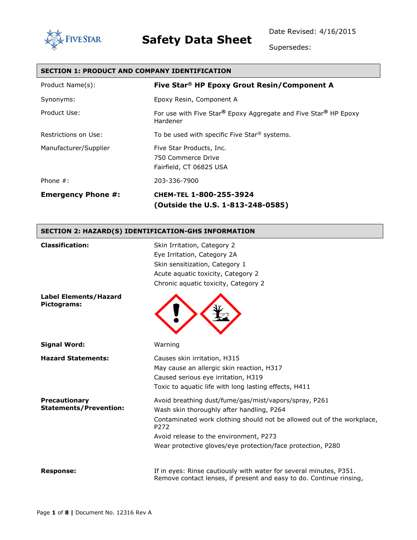

Date Revised: 4/16/2015

Supersedes:

### **SECTION 1: PRODUCT AND COMPANY IDENTIFICATION**

| Product Name(s):          | Five Star® HP Epoxy Grout Resin/Component A                                 |
|---------------------------|-----------------------------------------------------------------------------|
| Synonyms:                 | Epoxy Resin, Component A                                                    |
| Product Use:              | For use with Five Star® Epoxy Aggregate and Five Star® HP Epoxy<br>Hardener |
| Restrictions on Use:      | To be used with specific Five Star <sup>®</sup> systems.                    |
| Manufacturer/Supplier     | Five Star Products, Inc.<br>750 Commerce Drive<br>Fairfield, CT 06825 USA   |
| Phone $#$ :               | 203-336-7900                                                                |
| <b>Emergency Phone #:</b> | CHEM-TEL 1-800-255-3924<br>(Outside the U.S. 1-813-248-0585)                |

### **SECTION 2: HAZARD(S) IDENTIFICATION-GHS INFORMATION**

| <b>Classification:</b>                                | Skin Irritation, Category 2<br>Eye Irritation, Category 2A<br>Skin sensitization, Category 1<br>Acute aquatic toxicity, Category 2<br>Chronic aquatic toxicity, Category 2                                                                                                                    |
|-------------------------------------------------------|-----------------------------------------------------------------------------------------------------------------------------------------------------------------------------------------------------------------------------------------------------------------------------------------------|
| <b>Label Elements/Hazard</b><br>Pictograms:           |                                                                                                                                                                                                                                                                                               |
| <b>Signal Word:</b>                                   | Warning                                                                                                                                                                                                                                                                                       |
| <b>Hazard Statements:</b>                             | Causes skin irritation, H315<br>May cause an allergic skin reaction, H317<br>Caused serious eye irritation, H319<br>Toxic to aquatic life with long lasting effects, H411                                                                                                                     |
| <b>Precautionary</b><br><b>Statements/Prevention:</b> | Avoid breathing dust/fume/gas/mist/vapors/spray, P261<br>Wash skin thoroughly after handling, P264<br>Contaminated work clothing should not be allowed out of the workplace,<br>P272<br>Avoid release to the environment, P273<br>Wear protective gloves/eye protection/face protection, P280 |
| <b>Response:</b>                                      | If in eyes: Rinse cautiously with water for several minutes, P351.<br>Remove contact lenses, if present and easy to do. Continue rinsing,                                                                                                                                                     |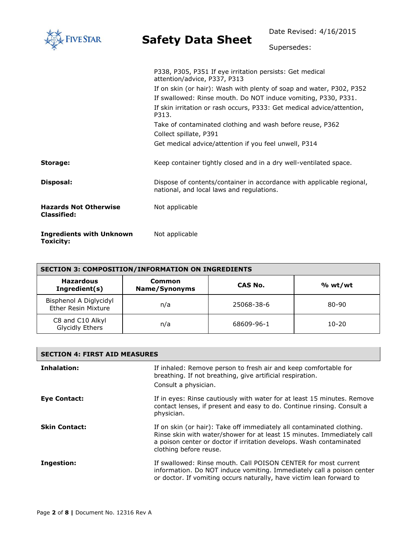| <b>IVE STAR</b>                                    | <b>Safety Data Sheet</b>                                                                                                               | Date Revised: 4/16/2015 |  |
|----------------------------------------------------|----------------------------------------------------------------------------------------------------------------------------------------|-------------------------|--|
|                                                    |                                                                                                                                        | Supersedes:             |  |
|                                                    | P338, P305, P351 If eye irritation persists: Get medical<br>attention/advice, P337, P313                                               |                         |  |
|                                                    | If on skin (or hair): Wash with plenty of soap and water, P302, P352<br>If swallowed: Rinse mouth. Do NOT induce vomiting, P330, P331. |                         |  |
|                                                    | If skin irritation or rash occurs, P333: Get medical advice/attention,<br>P313.                                                        |                         |  |
|                                                    | Take of contaminated clothing and wash before reuse, P362<br>Collect spillate, P391                                                    |                         |  |
|                                                    | Get medical advice/attention if you feel unwell, P314                                                                                  |                         |  |
| Storage:                                           | Keep container tightly closed and in a dry well-ventilated space.                                                                      |                         |  |
| Disposal:                                          | Dispose of contents/container in accordance with applicable regional,<br>national, and local laws and regulations.                     |                         |  |
| <b>Hazards Not Otherwise</b><br><b>Classified:</b> | Not applicable                                                                                                                         |                         |  |
| <b>Ingredients with Unknown</b><br>Toxicity:       | Not applicable                                                                                                                         |                         |  |

| <b>SECTION 3: COMPOSITION/INFORMATION ON INGREDIENTS</b> |                                |            |           |
|----------------------------------------------------------|--------------------------------|------------|-----------|
| <b>Hazardous</b><br>Ingredient(s)                        | Common<br><b>Name/Synonyms</b> | CAS No.    | % wt/wt   |
| Bisphenol A Diglycidyl<br><b>Ether Resin Mixture</b>     | n/a                            | 25068-38-6 | 80-90     |
| C8 and C10 Alkyl<br><b>Glycidly Ethers</b>               | n/a                            | 68609-96-1 | $10 - 20$ |

| <b>SECTION 4: FIRST AID MEASURES</b> |                                                                                                                                                                                                                                                  |  |
|--------------------------------------|--------------------------------------------------------------------------------------------------------------------------------------------------------------------------------------------------------------------------------------------------|--|
| Inhalation:                          | If inhaled: Remove person to fresh air and keep comfortable for<br>breathing. If not breathing, give artificial respiration.<br>Consult a physician.                                                                                             |  |
| Eye Contact:                         | If in eyes: Rinse cautiously with water for at least 15 minutes. Remove<br>contact lenses, if present and easy to do. Continue rinsing. Consult a<br>physician.                                                                                  |  |
| <b>Skin Contact:</b>                 | If on skin (or hair): Take off immediately all contaminated clothing.<br>Rinse skin with water/shower for at least 15 minutes. Immediately call<br>a poison center or doctor if irritation develops. Wash contaminated<br>clothing before reuse. |  |
| Ingestion:                           | If swallowed: Rinse mouth. Call POISON CENTER for most current<br>information. Do NOT induce vomiting. Immediately call a poison center<br>or doctor. If vomiting occurs naturally, have victim lean forward to                                  |  |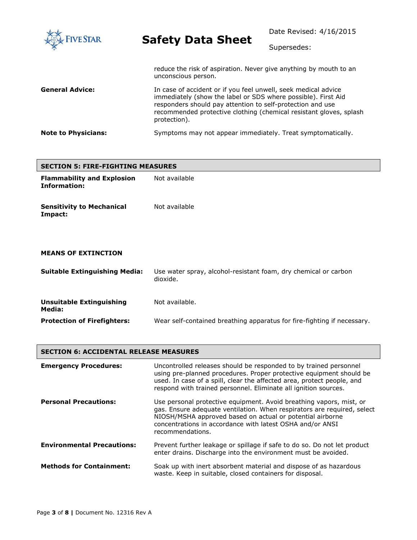| <b>FIVE STAR</b>           | <b>Safety Data Sheet</b>                                                                                                                                                                                                                                                            | Date Revised: 4/16/2015<br>Supersedes: |
|----------------------------|-------------------------------------------------------------------------------------------------------------------------------------------------------------------------------------------------------------------------------------------------------------------------------------|----------------------------------------|
|                            | reduce the risk of aspiration. Never give anything by mouth to an<br>unconscious person.                                                                                                                                                                                            |                                        |
| <b>General Advice:</b>     | In case of accident or if you feel unwell, seek medical advice<br>immediately (show the label or SDS where possible). First Aid<br>responders should pay attention to self-protection and use<br>recommended protective clothing (chemical resistant gloves, splash<br>protection). |                                        |
| <b>Note to Physicians:</b> | Symptoms may not appear immediately. Treat symptomatically.                                                                                                                                                                                                                         |                                        |

### **SECTION 5: FIRE-FIGHTING MEASURES**

| <b>Flammability and Explosion</b><br><b>Information:</b> | Not available                                                               |
|----------------------------------------------------------|-----------------------------------------------------------------------------|
| <b>Sensitivity to Mechanical</b><br>Impact:              | Not available                                                               |
| <b>MEANS OF EXTINCTION</b>                               |                                                                             |
| <b>Suitable Extinguishing Media:</b>                     | Use water spray, alcohol-resistant foam, dry chemical or carbon<br>dioxide. |

| Unsuitable Extinguishing<br>Media: | Not available.                                                          |
|------------------------------------|-------------------------------------------------------------------------|
| <b>Protection of Firefighters:</b> | Wear self-contained breathing apparatus for fire-fighting if necessary. |

| <b>SECTION 6: ACCIDENTAL RELEASE MEASURES</b> |                                                                                                                                                                                                                                                                                              |  |
|-----------------------------------------------|----------------------------------------------------------------------------------------------------------------------------------------------------------------------------------------------------------------------------------------------------------------------------------------------|--|
| <b>Emergency Procedures:</b>                  | Uncontrolled releases should be responded to by trained personnel<br>using pre-planned procedures. Proper protective equipment should be<br>used. In case of a spill, clear the affected area, protect people, and<br>respond with trained personnel. Eliminate all ignition sources.        |  |
| <b>Personal Precautions:</b>                  | Use personal protective equipment. Avoid breathing vapors, mist, or<br>gas. Ensure adequate ventilation. When respirators are required, select<br>NIOSH/MSHA approved based on actual or potential airborne<br>concentrations in accordance with latest OSHA and/or ANSI<br>recommendations. |  |
| <b>Environmental Precautions:</b>             | Prevent further leakage or spillage if safe to do so. Do not let product<br>enter drains. Discharge into the environment must be avoided.                                                                                                                                                    |  |
| <b>Methods for Containment:</b>               | Soak up with inert absorbent material and dispose of as hazardous<br>waste. Keep in suitable, closed containers for disposal.                                                                                                                                                                |  |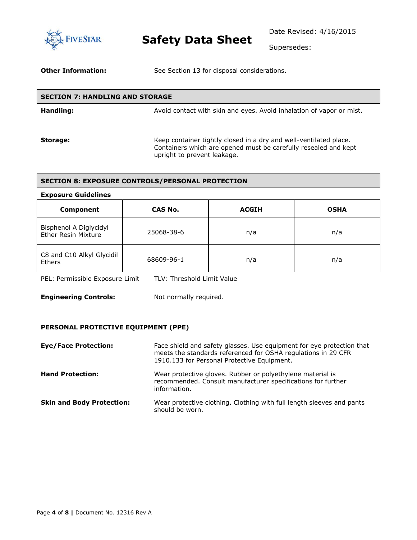

Supersedes:

### **Other Information:** See Section 13 for disposal considerations.

| <b>SECTION 7: HANDLING AND STORAGE</b> |                                                                                                                                                                     |  |
|----------------------------------------|---------------------------------------------------------------------------------------------------------------------------------------------------------------------|--|
| Handling:                              | Avoid contact with skin and eyes. Avoid inhalation of vapor or mist.                                                                                                |  |
| Storage:                               | Keep container tightly closed in a dry and well-ventilated place.<br>Containers which are opened must be carefully resealed and kept<br>upright to prevent leakage. |  |

### **SECTION 8: EXPOSURE CONTROLS/PERSONAL PROTECTION**

### **Exposure Guidelines**

| Component                                     | CAS No.    | <b>ACGIH</b> | <b>OSHA</b> |
|-----------------------------------------------|------------|--------------|-------------|
| Bisphenol A Diglycidyl<br>Ether Resin Mixture | 25068-38-6 | n/a          | n/a         |
| C8 and C10 Alkyl Glycidil<br><b>Ethers</b>    | 68609-96-1 | n/a          | n/a         |

PEL: Permissible Exposure Limit TLV: Threshold Limit Value

**Engineering Controls:** Not normally required.

### **PERSONAL PROTECTIVE EQUIPMENT (PPE)**

| <b>Eye/Face Protection:</b>      | Face shield and safety glasses. Use equipment for eye protection that<br>meets the standards referenced for OSHA regulations in 29 CFR<br>1910.133 for Personal Protective Equipment. |
|----------------------------------|---------------------------------------------------------------------------------------------------------------------------------------------------------------------------------------|
| <b>Hand Protection:</b>          | Wear protective gloves. Rubber or polyethylene material is<br>recommended. Consult manufacturer specifications for further<br>information.                                            |
| <b>Skin and Body Protection:</b> | Wear protective clothing. Clothing with full length sleeves and pants<br>should be worn.                                                                                              |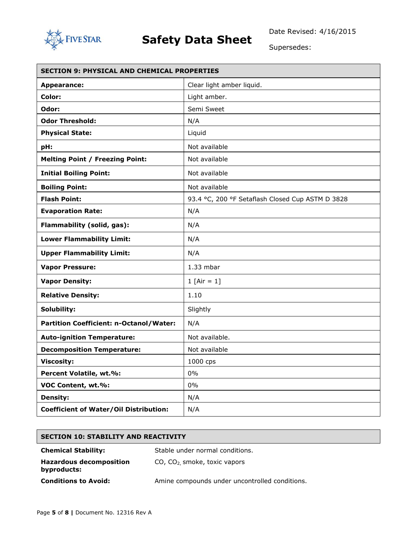

Supersedes:

| <b>SECTION 9: PHYSICAL AND CHEMICAL PROPERTIES</b> |                                                  |  |
|----------------------------------------------------|--------------------------------------------------|--|
| <b>Appearance:</b>                                 | Clear light amber liquid.                        |  |
| Color:                                             | Light amber.                                     |  |
| Odor:                                              | Semi Sweet                                       |  |
| <b>Odor Threshold:</b>                             | N/A                                              |  |
| <b>Physical State:</b>                             | Liquid                                           |  |
| pH:                                                | Not available                                    |  |
| <b>Melting Point / Freezing Point:</b>             | Not available                                    |  |
| <b>Initial Boiling Point:</b>                      | Not available                                    |  |
| <b>Boiling Point:</b>                              | Not available                                    |  |
| <b>Flash Point:</b>                                | 93.4 °C, 200 °F Setaflash Closed Cup ASTM D 3828 |  |
| <b>Evaporation Rate:</b>                           | N/A                                              |  |
| Flammability (solid, gas):                         | N/A                                              |  |
| <b>Lower Flammability Limit:</b>                   | N/A                                              |  |
| <b>Upper Flammability Limit:</b>                   | N/A                                              |  |
| <b>Vapor Pressure:</b>                             | $1.33$ mbar                                      |  |
| <b>Vapor Density:</b>                              | 1 $[Air = 1]$                                    |  |
| <b>Relative Density:</b>                           | 1.10                                             |  |
| Solubility:                                        | Slightly                                         |  |
| Partition Coefficient: n-Octanol/Water:            | N/A                                              |  |
| <b>Auto-ignition Temperature:</b>                  | Not available.                                   |  |
| <b>Decomposition Temperature:</b>                  | Not available                                    |  |
| <b>Viscosity:</b>                                  | 1000 cps                                         |  |
| Percent Volatile, wt.%:                            | 0%                                               |  |
| VOC Content, wt.%:                                 | 0%                                               |  |
| <b>Density:</b>                                    | N/A                                              |  |
| <b>Coefficient of Water/Oil Distribution:</b>      | N/A                                              |  |

### **SECTION 10: STABILITY AND REACTIVITY**

**Chemical Stability:** Stable under normal conditions. **Hazardous decomposition byproducts:** CO, CO2, smoke, toxic vapors **Conditions to Avoid:** Amine compounds under uncontrolled conditions.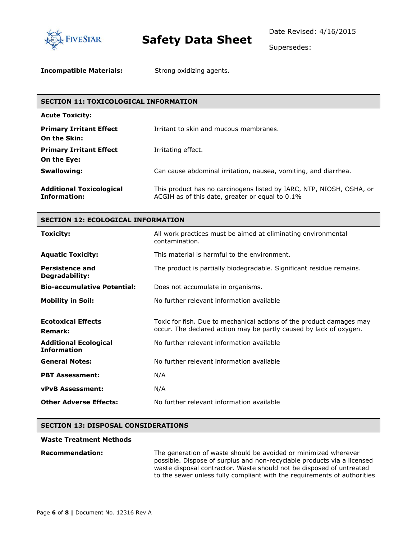

L

## **Safety Data Sheet**

Supersedes:

**Incompatible Materials:** Strong oxidizing agents.

### **SECTION 11: TOXICOLOGICAL INFORMATION**

| <b>Acute Toxicity:</b>                                 |                                                                                                                         |
|--------------------------------------------------------|-------------------------------------------------------------------------------------------------------------------------|
| <b>Primary Irritant Effect</b><br>On the Skin:         | Irritant to skin and mucous membranes.                                                                                  |
| <b>Primary Irritant Effect</b><br>On the Eye:          | Irritating effect.                                                                                                      |
| Swallowing:                                            | Can cause abdominal irritation, nausea, vomiting, and diarrhea.                                                         |
| <b>Additional Toxicological</b><br><b>Information:</b> | This product has no carcinogens listed by IARC, NTP, NIOSH, OSHA, or<br>ACGIH as of this date, greater or equal to 0.1% |

| <b>SECTION 12: ECOLOGICAL INFORMATION</b>          |                                                                                                                                            |  |
|----------------------------------------------------|--------------------------------------------------------------------------------------------------------------------------------------------|--|
| <b>Toxicity:</b>                                   | All work practices must be aimed at eliminating environmental<br>contamination.                                                            |  |
| <b>Aquatic Toxicity:</b>                           | This material is harmful to the environment.                                                                                               |  |
| <b>Persistence and</b><br>Degradability:           | The product is partially biodegradable. Significant residue remains.                                                                       |  |
| <b>Bio-accumulative Potential:</b>                 | Does not accumulate in organisms.                                                                                                          |  |
| <b>Mobility in Soil:</b>                           | No further relevant information available                                                                                                  |  |
| <b>Ecotoxical Effects</b><br><b>Remark:</b>        | Toxic for fish. Due to mechanical actions of the product damages may<br>occur. The declared action may be partly caused by lack of oxygen. |  |
| <b>Additional Ecological</b><br><b>Information</b> | No further relevant information available                                                                                                  |  |
| <b>General Notes:</b>                              | No further relevant information available                                                                                                  |  |
| <b>PBT Assessment:</b>                             | N/A                                                                                                                                        |  |
| <b>vPvB Assessment:</b>                            | N/A                                                                                                                                        |  |
| <b>Other Adverse Effects:</b>                      | No further relevant information available                                                                                                  |  |
|                                                    |                                                                                                                                            |  |

### **SECTION 13: DISPOSAL CONSIDERATIONS**

#### **Waste Treatment Methods**

**Recommendation:** The generation of waste should be avoided or minimized wherever possible. Dispose of surplus and non-recyclable products via a licensed waste disposal contractor. Waste should not be disposed of untreated to the sewer unless fully compliant with the requirements of authorities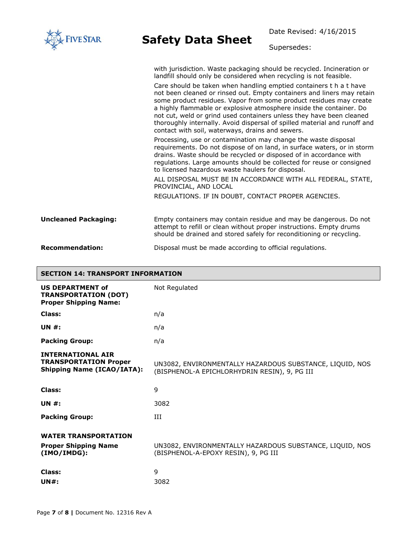| <b>VESTAR</b>               | <b>Safety Data Sheet</b>                                                                                                                                                                                                                                                                                                                                                                                                                                                                                                                                                                                                                           | Date Revised: 4/16/2015                                                 |
|-----------------------------|----------------------------------------------------------------------------------------------------------------------------------------------------------------------------------------------------------------------------------------------------------------------------------------------------------------------------------------------------------------------------------------------------------------------------------------------------------------------------------------------------------------------------------------------------------------------------------------------------------------------------------------------------|-------------------------------------------------------------------------|
|                             |                                                                                                                                                                                                                                                                                                                                                                                                                                                                                                                                                                                                                                                    | Supersedes:                                                             |
|                             | with jurisdiction. Waste packaging should be recycled. Incineration or<br>landfill should only be considered when recycling is not feasible.<br>Care should be taken when handling emptied containers t h a t have<br>not been cleaned or rinsed out. Empty containers and liners may retain<br>some product residues. Vapor from some product residues may create<br>a highly flammable or explosive atmosphere inside the container. Do<br>not cut, weld or grind used containers unless they have been cleaned<br>thoroughly internally. Avoid dispersal of spilled material and runoff and<br>contact with soil, waterways, drains and sewers. |                                                                         |
|                             | Processing, use or contamination may change the waste disposal<br>drains. Waste should be recycled or disposed of in accordance with<br>regulations. Large amounts should be collected for reuse or consigned<br>to licensed hazardous waste haulers for disposal.                                                                                                                                                                                                                                                                                                                                                                                 | requirements. Do not dispose of on land, in surface waters, or in storm |
|                             | PROVINCIAL, AND LOCAL                                                                                                                                                                                                                                                                                                                                                                                                                                                                                                                                                                                                                              | ALL DISPOSAL MUST BE IN ACCORDANCE WITH ALL FEDERAL, STATE,             |
|                             | REGULATIONS. IF IN DOUBT, CONTACT PROPER AGENCIES.                                                                                                                                                                                                                                                                                                                                                                                                                                                                                                                                                                                                 |                                                                         |
| <b>Uncleaned Packaging:</b> | Empty containers may contain residue and may be dangerous. Do not<br>attempt to refill or clean without proper instructions. Empty drums<br>should be drained and stored safely for reconditioning or recycling.                                                                                                                                                                                                                                                                                                                                                                                                                                   |                                                                         |
| <b>Recommendation:</b>      | Disposal must be made according to official regulations.                                                                                                                                                                                                                                                                                                                                                                                                                                                                                                                                                                                           |                                                                         |

| <b>SECTION 14: TRANSPORT INFORMATION</b>                                                      |                                                                                                           |  |
|-----------------------------------------------------------------------------------------------|-----------------------------------------------------------------------------------------------------------|--|
| <b>US DEPARTMENT of</b><br><b>TRANSPORTATION (DOT)</b><br><b>Proper Shipping Name:</b>        | Not Regulated                                                                                             |  |
| Class:                                                                                        | n/a                                                                                                       |  |
| <b>UN #:</b>                                                                                  | n/a                                                                                                       |  |
| <b>Packing Group:</b>                                                                         | n/a                                                                                                       |  |
| <b>INTERNATIONAL AIR</b><br><b>TRANSPORTATION Proper</b><br><b>Shipping Name (ICAO/IATA):</b> | UN3082, ENVIRONMENTALLY HAZARDOUS SUBSTANCE, LIQUID, NOS<br>(BISPHENOL-A EPICHLORHYDRIN RESIN), 9, PG III |  |
| Class:                                                                                        | 9                                                                                                         |  |
| <b>UN #:</b>                                                                                  | 3082                                                                                                      |  |
| <b>Packing Group:</b>                                                                         | Ш                                                                                                         |  |
| <b>WATER TRANSPORTATION</b><br><b>Proper Shipping Name</b><br>(IMO/IMDG):                     | UN3082, ENVIRONMENTALLY HAZARDOUS SUBSTANCE, LIQUID, NOS<br>(BISPHENOL-A-EPOXY RESIN), 9, PG III          |  |
| Class:<br><b>UN#:</b>                                                                         | 9<br>3082                                                                                                 |  |